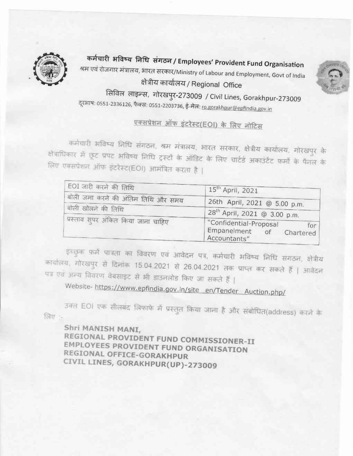

कर्मचारी भविष्य निधि संगठन / Employees' Provident Fund Organisation श्रम एवं रोजगार मंत्रालय, भारत सरकार/Ministry of Labour and Employment, Govt of India क्षेत्रीय कार्यालय / Regional Office



सिविल लाइन्स, गोरखपुर-273009 / Civil Lines, Gorakhpur-273009 ट्र्आष: 0551-2336126, फैक्स: 0551-2203736, ई-मेल: <u>ro.gorakhpur@epfindia.gov.in</u>

# एक्सप्रेशन ऑफ इंटरेस्ट(EOI) के लिए नोटिस

कर्मचारी भविष्य निधि संगठन, श्रम मंत्रालय, भारत सरकार, क्षेत्रीय कार्यालय, गोरखपुर के क्षेत्राधिकार में छूट प्रपट अविष्य निधि ट्रस्टों के ऑडिट के लिए चार्टर्ड अकाउंटेंट फर्मों के पैनल के लिए एक्सप्रेशन ऑफ इंटरेस्ट(EOI) आमंत्रित करता है |

| EOI जारी करने की तिथि                                     | 15th April, 2021                                                          |  |
|-----------------------------------------------------------|---------------------------------------------------------------------------|--|
| बोली जमा करने की अंतिम तिथि और समय                        | 26th April, 2021 @ 5.00 p.m.                                              |  |
| बोली खोलने की तिथि<br>प्रस्ताव सुपर अंकित किया जाना चाहिए | 28 <sup>th</sup> April, 2021 @ 3.00 p.m.                                  |  |
|                                                           | "Confidential-Proposal<br>for<br>Empanelment of Chartered<br>Accountants" |  |

इच्छुक फर्मे पात्रता का विवरण एवं आवेदन पत्र, कर्मचारी भविष्य निधि संगठन, क्षेत्रीय कार्यालय, गोरखपुर से दिनांक 15.04.2021 से 26.04.2021 तक प्राप्त कर सकते हैं | आवेदन पत्र एवं अन्य विवरण वेबसाइट से भी डाउनलोड किए जा सकते हैं |

Website-https://www.epfindia.gov.in/site en/Tender Auction.php/

उक्त EOI एक सीलबंद लिफाफे में प्रस्तुत किया जाना है और संबोधित(address) करने के लिए $:=$ 

Shri MANISH MANI, REGIONAL PROVIDENT FUND COMMISSIONER-II EMPLOYEES PROVIDENT FUND ORGANISATION REGIONAL OFFICE-GORAKHPUR CIVIL LINES, GORAKHPUR(UP)-273009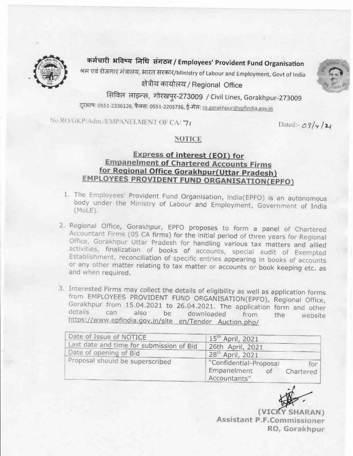

कर्मचारी भविष्य निधि संगठन / Employees' Provident Fund Organisation श्रम एवं रोजगार मंत्रालय, भारत सरकार/Ministry of Labour and Employment, Govt of India क्षेत्रीय कार्यालय / Regional Office



सिविल लाइन्स, गोरखपुर-273009 / Civil Lines, Gorakhpur-273009 दूरभाष: 0551-2336126, फैक्स: 0551-2203736, ई-मेल: ro.gorakhpur@epfindia.gov.in

No.RO/GKP/Adm./EMPANELMENT OF CA/71

Dated:-  $09/4/24$ 

#### **NOTICE**

#### Express of interest (EOI) for **Empanelment of Chartered Accounts Firms** for Regional Office Gorakhpur (Uttar Pradesh) **EMPLOYEES PROVIDENT FUND ORGANISATION(EPFO)**

- 1. The Employees' Provident Fund Organisation, India(EPFO) is an autonomous body under the Ministry of Labour and Employment, Government of India  $(MoLE)$ .
- 2. Regional Office, Gorakhpur, EPFO proposes to form a panel of Chartered Accountant Firms (05 CA firms) for the initial period of three years for Regional Office, Gorakhpur Uttar Pradesh for handling various tax matters and allied activities, finalization of books of accounts, special audit of Exempted Establishment, reconciliation of specific entries appearing in books of accounts or any other matter relating to tax matter or accounts or book keeping etc. as and when required.
- 3. Interested Firms may collect the details of eligibility as well as application forms from EMPLOYEES PROVIDENT FUND ORGANISATION(EPFO), Regional Office, Gorakhpur from 15.04.2021 to 26.04.2021. The application form and other details. can also be downloaded from the website https://www.epfindia.gov.in/site\_en/Tender\_Auction.php/

| Date of Issue of NOTICE                  | 15 <sup>th</sup> April, 2021                            |                  |
|------------------------------------------|---------------------------------------------------------|------------------|
| Last date and time for submission of Bid | 26th April, 2021                                        |                  |
| Date of opening of Bid                   | 28th April, 2021                                        |                  |
| Proposal should be superscribed          | Confidential-Proposal<br>Empanelment of<br>Accountants" | for<br>Chartered |

(VICKY SHARAN) Assistant P.F.Commissioner RO, Gorakhpur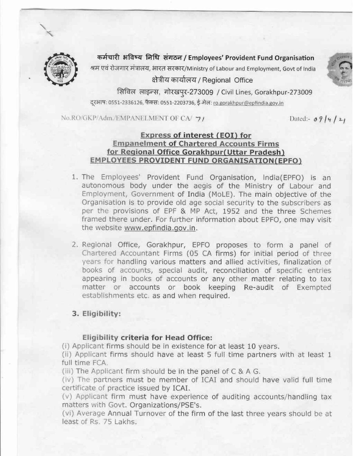

कर्मचारी भविष्य निधि संगठन / Employees' Provident Fund Organisation

श्रम एवं रोजगार मंत्रालय, भारत सरकार/Ministry of Labour and Employment, Govt of India

क्षेत्रीय कार्यालय / Regional Office

सिविल लाइन्स, गोरखपुर-273009 / Civil Lines, Gorakhpur-273009 दूरआषः 0551-2336126, फैक्स: 0551-2203736, ई-मेल: ro.gorakhpur@epfindia.gov.in

No.RO/GKP/Adm./EMPANELMENT OF CA/ 7/

Dated:-  $0914/21$ 

#### Express of interest (EOI) for **Empanelment of Chartered Accounts Firms** for Regional Office Gorakhpur (Uttar Pradesh) EMPLOYEES PROVIDENT FUND ORGANISATION(EPFO)

- 1. The Employees' Provident Fund Organisation, India(EPFO) is an autonomous body under the aegis of the Ministry of Labour and Employment, Government of India (MoLE). The main objective of the Organisation is to provide old age social security to the subscribers as per the provisions of EPF & MP Act, 1952 and the three Schemes framed there under. For further information about EPFO, one may visit the website www.epfindia.gov.in.
- 2. Regional Office, Gorakhpur, EPFO proposes to form a panel of Chartered Accountant Firms (05 CA firms) for initial period of three years for handling various matters and allied activities, finalization of books of accounts, special audit, reconciliation of specific entries appearing in books of accounts or any other matter relating to tax matter or accounts or book keeping Re-audit of Exempted establishments etc. as and when required.

#### 3. Eligibility:

#### Eligibility criteria for Head Office:

(i) Applicant firms should be in existence for at least 10 years.

(ii) Applicant firms should have at least 5 full time partners with at least 1 full time FCA.

(iii) The Applicant firm should be in the panel of C & A G.

(iv) The partners must be member of ICAI and should have valid full time certificate of practice issued by ICAI.

(v) Applicant firm must have experience of auditing accounts/handling tax matters with Govt. Organizations/PSE's.

(vi) Average Annual Turnover of the firm of the last three years should be at least of Rs. 75 Lakhs.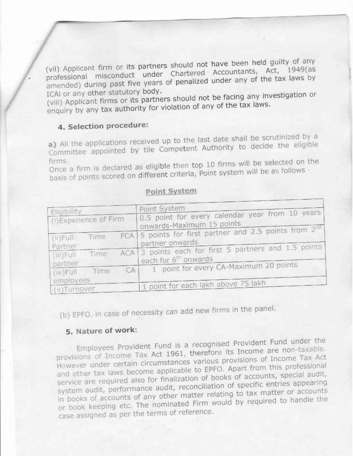(vii) Applicant firm or its partners should not have been held guilty of any professional misconduct under Chartered Accountants, Act, 1949(as amended) during past five years of penalized under any of the tax laws by ICAI or any other statutory body.

(viii) Applicant firms or its partners should not be facing any investigation or enquiry by any tax authority for violation of any of the tax laws.

# 4. Selection procedure:

a) All the applications received up to the last date shall be scrutinized by a Committee appointed by tile Competent Authority to decide the eligible

Once a firm is declared as eligible then top 10 firms will be selected on the basis of points scored on different criteria, Point system will be as follows -

#### Point System

| Eligibility                         |      | Point System                                                                                  |
|-------------------------------------|------|-----------------------------------------------------------------------------------------------|
| (i)Experience of Firm               |      | 0.5 point for every calendar year from 10 years<br>onwards-Maximum 15 points                  |
| $(ii)$ Full<br>Partner              | Time | FCA $\vert$ 5 points for first partner and 2.5 points from $2^{\text{nd}}$<br>partner onwards |
| $(iii)$ Full<br>partner             | Time | ACA 3 points each for first 5 partners and 1.5 points<br>each for 6 <sup>th</sup> onwards     |
| CA<br>Time<br>(iv)Full<br>employees |      | 1 point for every CA-Maximum 20 points                                                        |
| (v)Turnover                         |      | 1 point for each lakh above 75 lakh                                                           |

(b) EPFO, in case of necessity can add new firms in the panel.

# 5. Nature of work:

Employees Provident Fund is a recognised Provident Fund under the provisions of Income Tax Act 1961, therefore its Income are non-taxable. However under certain circumstances various provisions of Income Tax Act and other tax laws become applicable to EPFO. Apart from this professional service are required also for finalization of books of accounts, special audit, system audit, performance audit, reconciliation of specific entries appearing in books of accounts of any other matter relating to tax matter or accounts or book keeping etc. The nominated Firm would by required to handle the case assigned as per the terms of reference.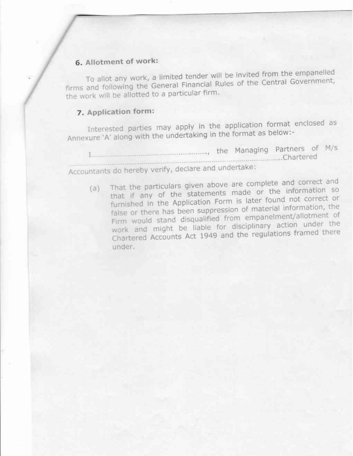# 6. Allotment of work:

To allot any work, a limited tender will be invited from the empanelled firms and following the General Financial Rules of the Central Government, the work will be allotted to a particular firm.

# 7. Application form:

Interested parties may apply in the application format enclosed as Annexure 'A' along with the undertaking in the format as below:-

I managing Partners of M/s ........................Chartered Accountants do hereby verify, declare and undertake:

That the particulars given above are complete and correct and that if any of the statements made or the information so  $(a)$ furnished in the Application Form is later found not correct or false or there has been suppression of material information, the Firm would stand disqualified from empanelment/allotment of work and might be liable for disciplinary action under the Chartered Accounts Act 1949 and the regulations framed there under.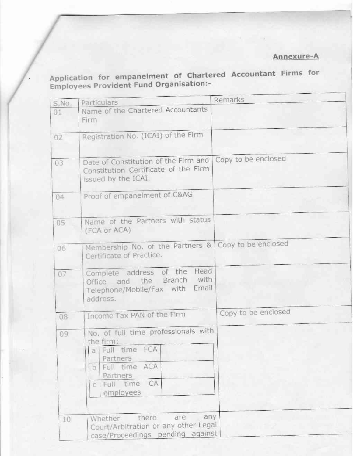# Annexure-A

Application for empanelment of Chartered Accountant Firms for<br>Employees Provident Fund Organisation:-

| S.No. | Particulars                                                                  | Remarks             |
|-------|------------------------------------------------------------------------------|---------------------|
| 01    | Name of the Chartered Accountants                                            |                     |
|       | Firm                                                                         |                     |
|       |                                                                              |                     |
| 02    | Registration No. (ICAI) of the Firm                                          |                     |
|       |                                                                              |                     |
|       |                                                                              | Copy to be enclosed |
| 03    | Date of Constitution of the Firm and<br>Constitution Certificate of the Firm |                     |
|       | issued by the ICAI.                                                          |                     |
|       |                                                                              |                     |
| 04    | Proof of empanelment of C&AG                                                 |                     |
|       |                                                                              |                     |
|       |                                                                              |                     |
| 05    | Name of the Partners with status                                             |                     |
|       | (FCA or ACA)                                                                 |                     |
|       | Membership No. of the Partners & Copy to be enclosed                         |                     |
| 06    | Certificate of Practice.                                                     |                     |
|       |                                                                              |                     |
| 07    | Head<br>Complete address of the                                              |                     |
|       | with<br>and the Branch<br><b>Office</b>                                      |                     |
|       | Email<br>Telephone/Mobile/Fax with                                           |                     |
|       | address.                                                                     |                     |
|       |                                                                              | Copy to be enclosed |
| 08    | Income Tax PAN of the Firm                                                   |                     |
| 09    | No. of full time professionals with                                          |                     |
|       | the firm:                                                                    |                     |
|       | a Full time FCA                                                              |                     |
|       | Partners                                                                     |                     |
|       | Full time ACA<br>b.                                                          |                     |
|       | <b>Partners</b>                                                              |                     |
|       | CA<br>Full time<br>C                                                         |                     |
|       | employees                                                                    |                     |
|       |                                                                              |                     |
| 10    | any<br>are<br>there<br>Whether                                               |                     |
|       | Court/Arbitration or any other Legal                                         |                     |
|       | case/Proceedings pending against                                             |                     |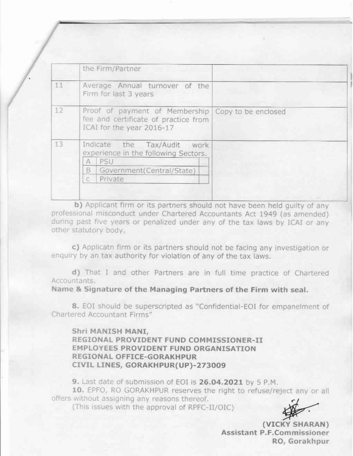|    | the Firm/Partner                                                                                                                |  |
|----|---------------------------------------------------------------------------------------------------------------------------------|--|
| 11 | Average Annual turnover of the<br>Firm for last 3 years                                                                         |  |
| 12 | Proof of payment of Membership Copy to be enclosed<br>fee and certificate of practice from<br>ICAI for the year 2016-17         |  |
| 13 | Indicate the Tax/Audit<br>work<br>experience in the following Sectors.<br>PSU<br>A<br>B<br>Government(Central/State)<br>Private |  |

b) Applicant firm or its partners should not have been held quilty of any professional misconduct under Chartered Accountants Act 1949 (as amended) during past five years or penalized under any of the tax laws by ICAI or any other statutory body.

c) Applicatn firm or its partners should not be facing any investigation or enquiry by an tax authority for violation of any of the tax laws.

d) That I and other Partners are in full time practice of Chartered Accountants.

Name & Signature of the Managing Partners of the Firm with seal.

8. EOI should be superscripted as "Confidential-EOI for empanelment of Chartered Accountant Firms"

Shri MANISH MANI, REGIONAL PROVIDENT FUND COMMISSIONER-II EMPLOYEES PROVIDENT FUND ORGANISATION REGIONAL OFFICE-GORAKHPUR CIVIL LINES, GORAKHPUR(UP)-273009

9. Last date of submission of EOI is 26.04.2021 by 5 P.M.

10. EPFO, RO GORAKHPUR reserves the right to refuse/reject any or all offers without assigning any reasons thereof.

(This issues with the approval of RPFC-II/OIC)

(VICKY SHARAN) Assistant P.F.Commissioner RO, Gorakhpur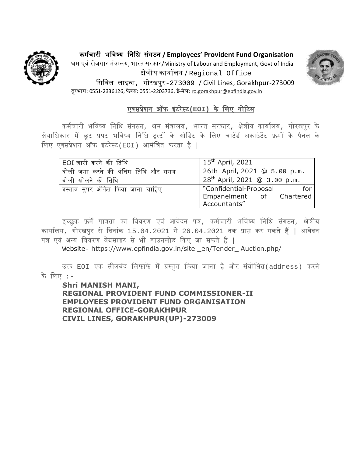

कर्चम ारी भविष्य विवि सगं ठि **/ Employees' Provident Fund Organisation** श्रर् एिंरोजगार र्ंत्रालय, भारत सरकार/Ministry of Labour and Employment, Govt of India क्षेत्रीय कायामलय / Regional Office वसविल लाइन्स, गोरखपुर-273009 / Civil Lines, Gorakhpur-273009 दूरभाष: 0551-2336126, फैक्स: 0551-2203736, ई-मेल: [ro.gorakhpur@epfindia.gov.in](mailto:ro.gorakhpur@epfindia.gov.in)



# एक्सप्रशे ि ऑफ इंटरेस्ट**(EOI)** के वलए िोटटस

कर्मचारी भविष्य विवि संगठि, श्रर् र्ंत्रालय, भारत सरकार, क्षेत्रीय कायामलय, गोरखपुर के क्षेत्राधिकार में छूट प्रपट भविष्य निधि ट्रस्टों के ऑडिट के लिए चार्टर्ड अकाउंटेंट फ़र्मों के पैनल के वलए एक्सप्रेशि ऑफ इंटरेस्ट(EOI) आर्ंवत्रत करता है |

| EOI जारी करने की तिथि               | $15^{\text{th}}$ April, 2021      |
|-------------------------------------|-----------------------------------|
| बोली जमा करने की अंतिम तिथि और समय  | 26th April, 2021 @ 5.00 p.m.      |
| बोली खोलने की तिथि                  | $28^{th}$ April, 2021 @ 3.00 p.m. |
| प्रस्ताव सुपर अंकित किया जाना चाहिए | "Confidential-Proposal<br>for     |
|                                     | Empanelment of Chartered          |
|                                     | Accountants"                      |

इच्छुक फ़र्में पात्रता का विवरण एवं आवेदन पत्र, कर्मचारी भविष्य निधि संगठन, क्षेत्रीय कार्यालय, गोरखपुर से दिनांक 15.04.2021 से 26.04.2021 तक प्राप्त कर सकते हैं | आवेदन पत्र एवं अन्य विवरण वेबसाइट से भी डाउनलोड किए जा सकते हैं |

Website- [https://www.epfindia.gov.in/site \\_en/Tender\\_ Auction.php/](https://www.epfindia.gov.in/site%20_en/Tender_%20Auction.php/)

उक्त E0I एक सीलबंद लिफाफे में प्रस्तुत किया जाना है और संबोधित(address) करने के वलए :-

**Shri MANISH MANI, REGIONAL PROVIDENT FUND COMMISSIONER-II EMPLOYEES PROVIDENT FUND ORGANISATION REGIONAL OFFICE-GORAKHPUR CIVIL LINES, GORAKHPUR(UP)-273009**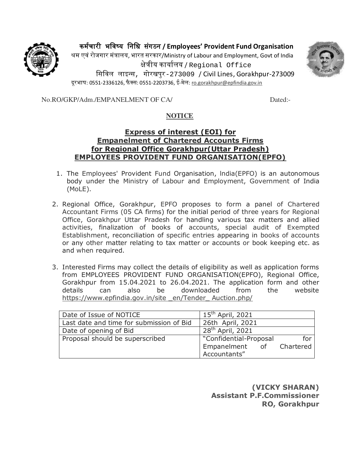कर्चम ारी भविष्य विवि सगं ठि **/ Employees' Provident Fund Organisation**



श्रर् एिंरोजगार र्ंत्रालय, भारत सरकार/Ministry of Labour and Employment, Govt of India क्षेत्रीय कायामलय / Regional Office वसविल लाइन्स, गोरखपुर-273009 / Civil Lines, Gorakhpur-273009 दरभाष: 0551-2336126, फैक्स: 0551-2203736, ई-मेल: <u>ro.gorakhpur@epfindia.gov.in</u>

No.RO/GKP/Adm./EMPANELMENT OF CA/ Dated:-

# **NOTICE**

#### **Express of interest (EOI) for Empanelment of Chartered Accounts Firms for Regional Office Gorakhpur(Uttar Pradesh) EMPLOYEES PROVIDENT FUND ORGANISATION(EPFO)**

- 1. The Employees' Provident Fund Organisation, lndia(EPFO) is an autonomous body under the Ministry of Labour and Employment, Government of India (MoLE).
- 2. Regional Office, Gorakhpur, EPFO proposes to form a panel of Chartered Accountant Firms (05 CA firms) for the initial period of three years for Regional Office, Gorakhpur Uttar Pradesh for handling various tax matters and allied activities, finalization of books of accounts, special audit of Exempted Establishment, reconciliation of specific entries appearing in books of accounts or any other matter relating to tax matter or accounts or book keeping etc. as and when required.
- 3. Interested Firms may collect the details of eligibility as well as application forms from EMPLOYEES PROVIDENT FUND ORGANISATION(EPFO), Regional Office, Gorakhpur from 15.04.2021 to 26.04.2021. The application form and other details can also be downloaded from the website https://www.epfindia.gov.in/site en/Tender Auction.php/

| Date of Issue of NOTICE                  | $15^{\text{th}}$ April, 2021 |     |
|------------------------------------------|------------------------------|-----|
| Last date and time for submission of Bid | 26th April, 2021             |     |
| Date of opening of Bid                   | 28 <sup>th</sup> April, 2021 |     |
| Proposal should be superscribed          | "Confidential-Proposal       | for |
|                                          | Empanelment of Chartered     |     |
|                                          | Accountants"                 |     |

**(VICKY SHARAN) Assistant P.F.Commissioner RO, Gorakhpur**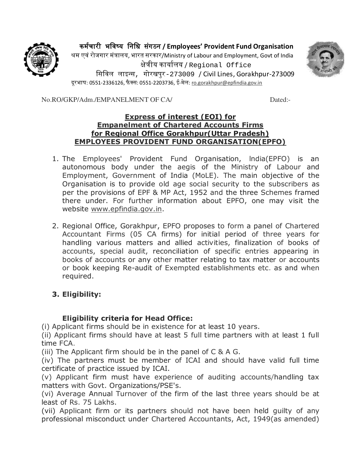कर्चम ारी भविष्य विवि सगं ठि **/ Employees' Provident Fund Organisation**



श्रम एवं रोजगार मंत्रालय, भारत सरकार/Ministry of Labour and Employment, Govt of India क्षेत्रीय कायामलय / Regional Office वसविल लाइन्स, गोरखपुर-273009 / Civil Lines, Gorakhpur-273009 दूरभाष: 0551-2336126, फैक्स: 0551-2203736, ई-मेल: <u>ro.gorakhpur@epfindia.gov.in</u>

No.RO/GKP/Adm./EMPANELMENT OF CA/ Dated:-

#### **Express of interest (EOI) for Empanelment of Chartered Accounts Firms for Regional Office Gorakhpur(Uttar Pradesh) EMPLOYEES PROVIDENT FUND ORGANISATION(EPFO)**

- 1. The Employees' Provident Fund Organisation, lndia(EPFO) is an autonomous body under the aegis of the Ministry of Labour and Employment, Government of India (MoLE). The main objective of the Organisation is to provide old age social security to the subscribers as per the provisions of EPF & MP Act, 1952 and the three Schemes framed there under. For further information about EPFO, one may visit the website [www.epfindia.gov.in.](http://www.epfindia.gov.in/)
- 2. Regional Office, Gorakhpur, EPFO proposes to form a panel of Chartered Accountant Firms (05 CA firms) for initial period of three years for handling various matters and allied activities, finalization of books of accounts, special audit, reconciliation of specific entries appearing in books of accounts or any other matter relating to tax matter or accounts or book keeping Re-audit of Exempted establishments etc. as and when required.

# **3. Eligibility:**

# **Eligibility criteria for Head Office:**

(i) Applicant firms should be in existence for at least 10 years.

(ii) Applicant firms should have at least 5 full time partners with at least 1 full time FCA.

(iii) The Applicant firm should be in the panel of C & A G.

(iv) The partners must be member of ICAI and should have valid full time certificate of practice issued by ICAI.

(v) Applicant firm must have experience of auditing accounts/handling tax matters with Govt. Organizations/PSE's.

(vi) Average Annual Turnover of the firm of the last three years should be at least of Rs. 75 Lakhs.

(vii) Applicant firm or its partners should not have been held guilty of any professional misconduct under Chartered Accountants, Act, 1949(as amended)

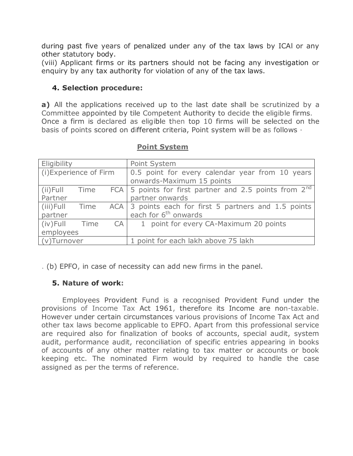during past five years of penalized under any of the tax laws by ICAl or any other statutory body.

(viii) Applicant firms or its partners should not be facing any investigation or enquiry by any tax authority for violation of any of the tax laws.

#### **4. Selection procedure:**

**a)** All the applications received up to the last date shall be scrutinized by a Committee appointed by tile Competent Authority to decide the eligible firms. Once a firm is declared as eligible then top 10 firms will be selected on the basis of points scored on different criteria, Point system will be as follows ·

| Eligibility                                        |           |    | Point System                                                                 |  |
|----------------------------------------------------|-----------|----|------------------------------------------------------------------------------|--|
| (i) Experience of Firm                             |           |    | 0.5 point for every calendar year from 10 years<br>onwards-Maximum 15 points |  |
| $(ii)$ Full                                        | Time      |    | FCA $\vert$ 5 points for first partner and 2.5 points from 2 <sup>nd</sup>   |  |
| Partner                                            |           |    | partner onwards                                                              |  |
| (iii) Full                                         | Time      |    | ACA 3 points each for first 5 partners and 1.5 points                        |  |
| partner                                            |           |    | each for 6 <sup>th</sup> onwards                                             |  |
| $(iv)$ Full                                        | Time      | CA | 1 point for every CA-Maximum 20 points                                       |  |
|                                                    | employees |    |                                                                              |  |
| 1 point for each lakh above 75 lakh<br>(v)Turnover |           |    |                                                                              |  |

#### **Point System**

. (b) EPFO, in case of necessity can add new firms in the panel.

#### **5. Nature of work:**

Employees Provident Fund is a recognised Provident Fund under the provisions of Income Tax Act 1961, therefore its Income are non-taxable. However under certain circumstances various provisions of Income Tax Act and other tax laws become applicable to EPFO. Apart from this professional service are required also for finalization of books of accounts, special audit, system audit, performance audit, reconciliation of specific entries appearing in books of accounts of any other matter relating to tax matter or accounts or book keeping etc. The nominated Firm would by required to handle the case assigned as per the terms of reference.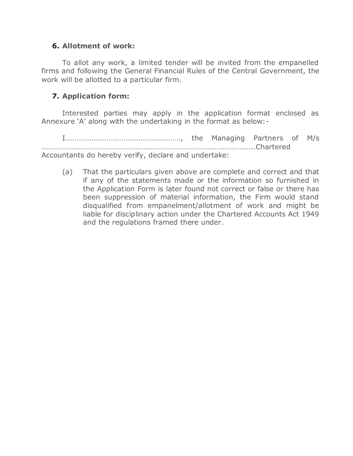#### **6. Allotment of work:**

To allot any work, a limited tender will be invited from the empanelled firms and following the General Financial Rules of the Central Government, the work will be allotted to a particular firm.

#### **7. Application form:**

Interested parties may apply in the application format enclosed as Annexure 'A' along with the undertaking in the format as below:-

I……………………………………………………., the Managing Partners of M/s …………………………………………………………………………………………………..Chartered Accountants do hereby verify, declare and undertake:

(a) That the particulars given above are complete and correct and that if any of the statements made or the information so furnished in the Application Form is later found not correct or false or there has been suppression of material information, the Firm would stand disqualified from empanelment/allotment of work and might be liable for disciplinary action under the Chartered Accounts Act 1949 and the regulations framed there under.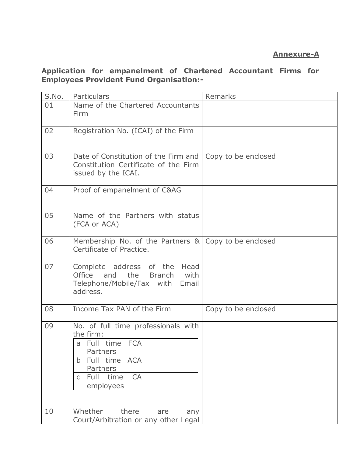# **Annexure-A**

#### **Application for empanelment of Chartered Accountant Firms for Employees Provident Fund Organisation:-**

| S.No. | Particulars                                                                                                                                                                          | Remarks             |
|-------|--------------------------------------------------------------------------------------------------------------------------------------------------------------------------------------|---------------------|
| 01    | Name of the Chartered Accountants<br>Firm                                                                                                                                            |                     |
| 02    | Registration No. (ICAI) of the Firm                                                                                                                                                  |                     |
| 03    | Date of Constitution of the Firm and<br>Constitution Certificate of the Firm<br>issued by the ICAI.                                                                                  | Copy to be enclosed |
| 04    | Proof of empanelment of C&AG                                                                                                                                                         |                     |
| 05    | Name of the Partners with status<br>(FCA or ACA)                                                                                                                                     |                     |
| 06    | Membership No. of the Partners & Copy to be enclosed<br>Certificate of Practice.                                                                                                     |                     |
| 07    | Head<br>Complete address of the<br>Office<br>and the Branch<br>with<br>Telephone/Mobile/Fax with Email<br>address.                                                                   |                     |
| 08    | Income Tax PAN of the Firm                                                                                                                                                           | Copy to be enclosed |
| 09    | No. of full time professionals with<br>the firm:<br>a Full time FCA<br>Partners<br>Full time<br><b>ACA</b><br>$\mathbf b$<br>Partners<br>time<br>CA<br><b>Full</b><br>C<br>employees |                     |
| 10    | Whether<br>there<br>any<br>are<br>Court/Arbitration or any other Legal                                                                                                               |                     |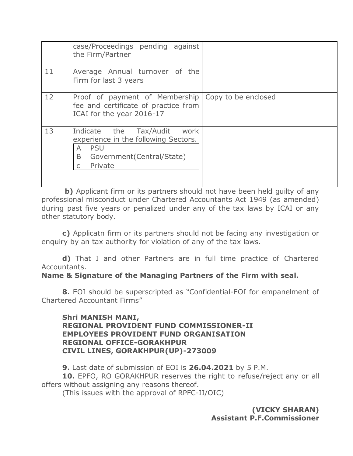|    | case/Proceedings pending against<br>the Firm/Partner                                                                                                    |  |
|----|---------------------------------------------------------------------------------------------------------------------------------------------------------|--|
| 11 | Average Annual turnover of the<br>Firm for last 3 years                                                                                                 |  |
| 12 | Proof of payment of Membership   Copy to be enclosed<br>fee and certificate of practice from<br>ICAI for the year 2016-17                               |  |
| 13 | Indicate the Tax/Audit<br>work<br>experience in the following Sectors.<br><b>PSU</b><br>A<br>B<br>Government (Central/State)<br>Private<br>$\mathsf{C}$ |  |

**b)** Applicant firm or its partners should not have been held guilty of any professional misconduct under Chartered Accountants Act 1949 (as amended) during past five years or penalized under any of the tax laws by ICAI or any other statutory body.

**c)** Applicatn firm or its partners should not be facing any investigation or enquiry by an tax authority for violation of any of the tax laws.

**d)** That I and other Partners are in full time practice of Chartered Accountants.

**Name & Signature of the Managing Partners of the Firm with seal.** 

**8.** EOI should be superscripted as "Confidential-EOI for empanelment of Chartered Accountant Firms"

#### **Shri MANISH MANI, REGIONAL PROVIDENT FUND COMMISSIONER-II EMPLOYEES PROVIDENT FUND ORGANISATION REGIONAL OFFICE-GORAKHPUR CIVIL LINES, GORAKHPUR(UP)-273009**

**9.** Last date of submission of EOI is **26.04.2021** by 5 P.M. **10.** EPFO, RO GORAKHPUR reserves the right to refuse/reject any or all offers without assigning any reasons thereof.

(This issues with the approval of RPFC-II/OIC)

**(VICKY SHARAN) Assistant P.F.Commissioner**